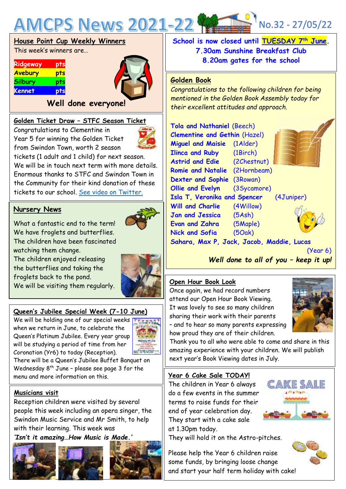

|  |  | House Point Cup Weekly Winners |
|--|--|--------------------------------|
|  |  |                                |

This week's winners are…

| pts |
|-----|
| pts |
| pts |
| pts |
|     |



## **Well done everyone!**

### **Golden Ticket Draw – STFC Season Ticket**

Congratulations to Clementine in Year 5 for winning the Golden Ticket from Swindon Town, worth 2 season



tickets (1 adult and 1 child) for next season. We will be in touch next term with more details. Enormous thanks to STFC and Swindon Town in the Community for their kind donation of these tickets to our school. [See video on Twitter.](https://twitter.com/AMCPS_Swindon/status/1530140410697420801?s=20)

### **Nursery News**

What a fantastic end to the term! We have froglets and butterflies. The children have been fascinated watching them change.

The children enjoyed releasing the butterflies and taking the froglets back to the pond. We will be visiting them regularly.

## **Queen's Jubilee Special Week (7-10 June)**

We will be holding one of our special weeks  $\blacksquare$ when we return in June, to celebrate the Queen's Platinum Jubilee. Every year group will be studying a period of time from her Coronation (Yr6) to today (Reception).



There will be a Queen's Jubilee Buffet Banquet on Wednesday  $8^{th}$  June - please see page 3 for the menu and more information on this.



Reception children were visited by several people this week including an opera singer, the Swindon Music Service and Mr Smith, to help with their learning. This week was *'Isn't it amazing…How Music is Made.'*







**School is now closed until TUESDAY 7th June. 7.30am Sunshine Breakfast Club 8.20am gates for the school**

### **Golden Book**

*Congratulations to the following children for being mentioned in the Golden Book Assembly today for their excellent attitudes and approach.*

| <b>Tola and Nathaniel (Beech)</b>         |                                         |  |  |  |
|-------------------------------------------|-----------------------------------------|--|--|--|
| <b>Clementine and Gethin (Hazel)</b>      |                                         |  |  |  |
| <b>Miguel and Maisie</b> (1Alder)         |                                         |  |  |  |
| <b>Ilinca and Ruby</b> (1Birch)           |                                         |  |  |  |
| <b>Astrid and Edie</b> (2Chestnut)        |                                         |  |  |  |
| Romie and Natalie (2Hornbeam)             |                                         |  |  |  |
| Dexter and Sophie (3Rowan)                |                                         |  |  |  |
| Ollie and Evelyn                          | (3Sycamore)                             |  |  |  |
|                                           | Isla T, Veronika and Spencer (4Juniper) |  |  |  |
| <b>Will and Charlie</b> (4Willow)         |                                         |  |  |  |
| <b>Jan and Jessica</b> (5Ash)             |                                         |  |  |  |
| <b>Evan and Zahra</b> (5Maple)            |                                         |  |  |  |
| Nick and Sofia (50ak)                     |                                         |  |  |  |
| Sahara, Max P, Jack, Jacob, Maddie, Lucas |                                         |  |  |  |

(Year 6) *Well done to all of you – keep it up!*

### **Open Hour Book Look**

Once again, we had record numbers attend our Open Hour Book Viewing. It was lovely to see so many children sharing their work with their parents – and to hear so many parents expressing how proud they are of their children.



Thank you to all who were able to come and share in this amazing experience with your children. We will publish next year's Book Viewing dates in July.

#### **Year 6 Cake Sale TODAY!**

The children in Year 6 always do a few events in the summer terms to raise funds for their end of year celebration day. They start with a cake sale at 1.30pm today.

They will hold it on the Astro-pitches.

Please help the Year 6 children raise some funds, by bringing loose change and start your half term holiday with cake!

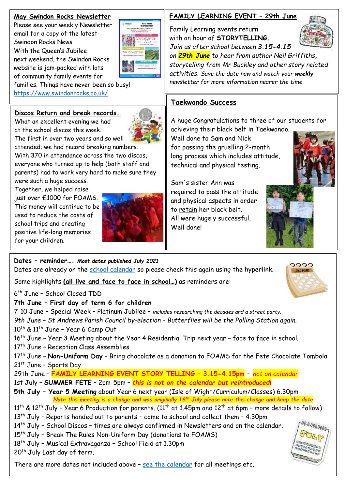### **May Swindon Rocks Newsletter**

Please see your weekly Newsletter email for a copy of the latest Swindon Rocks News With the Queen's Jubilee next weekend, the Swindon Rocks website is jam-packed with lots of community family events for families. Things have never been so busy! <https://www.swindonrocks.co.uk/>

# **Discos Return and break records…**

What an excellent evening we had at the school discos this week.

The first in over two years and so well attended; we had record breaking numbers. With 370 in attendance across the two discos, everyone who turned up to help (both staff and parents) had to work very hard to make sure they

were such a huge success. Together, we helped raise just over £1000 for FOAMS. This money will continue to be used to reduce the costs of school trips and creating positive life-long memories for your children.



# **FAMILY LEARNING EVENT – 29th June**

Family Learning events return with an hour of **STORYTELLING***.*



*Join us after school between 3.15-4.15 on 29th June to hear from author Neil Griffiths, storytelling from Mr Buckley and other story related activities. Save the date now and watch your weekly newsletter for more information nearer the time.*

# **Taekwondo Success**

A huge Congratulations to three of our students for achieving their black belt in Taekwondo.

Well done to Sam and Nick for passing the gruelling 2-month long process which includes attitude, technical and physical testing.

Sam's sister Ann was required to pass the attitude and physical aspects in order to retain her black belt. All were hugely successful. Well done!





າາາາ **JUNE** 

**Dates – reminder….** *Most dates published July 2021* Dates are already on the [school calendar](https://www.abbeymeads.swindon.sch.uk/_files/ugd/64c1c7_0e176d3798b141f2a49e24144210a91d.pdf) so please check this again using the hyperlink.

Some highlights **(all live and face to face in school…)** as reminders are:

6 th June – School Closed TDD

## **7th June – First day of term 6 for children**

7-10 June – Special Week – Platinum Jubilee – *includes researching the decades and a street party.*

*9th June – St Andrews Parish Council by-election - Butterflies will be the Polling Station again.*  $10^{th}$  &  $11^{th}$  June - Year 6 Camp Out

16<sup>th</sup> June - Year 3 Meeting about the Year 4 Residential Trip next year - face to face in school.

17<sup>th</sup> June - Reception Class Assemblies

17th June – **Non-Uniform Day** – Bring chocolate as a donation to FOAMS for the Fete Chocolate Tombola 21st June – Sports Day

29th June – **FAMILY LEARNING EVENT STORY TELLING – 3.15-4.15pm –** *not on calendar* 1st July – **SUMMER FETE** – 2pm-5pm – *this is not on the calendar but reintroduced!*

**5th July – Year 5 Meeting** about Year 6 next year (Isle of Wight/Curriculum/Classes) 6.30pm  *Note this meeting is a change and was originally 18th July please note this change and keep the date*

11<sup>th</sup> & 12<sup>th</sup> July - Year 6 Production for parents. (11<sup>th</sup> at 1.45pm and 12<sup>th</sup> at 6pm - more details to follow) 13<sup>th</sup> July - Reports handed out to parents - come to school and collect them - 4.30pm

14<sup>th</sup> July - School Discos - times are always confirmed in Newsletters and on the calendar.

15<sup>th</sup> July - Break The Rules Non-Uniform Day (donations to FOAMS)

18<sup>th</sup> July - Musical Extravaganza - School Field at 1.30pm

20<sup>th</sup> July Last day of term.

There are more dates not included above – [see the calendar](https://www.abbeymeads.swindon.sch.uk/_files/ugd/64c1c7_0e176d3798b141f2a49e24144210a91d.pdf) for all meetings etc.